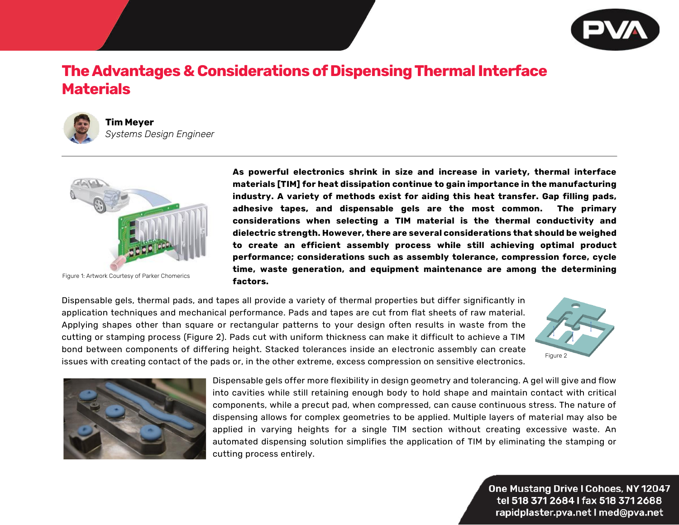

## **The Advantages & Considerations of Dispensing Thermal Interface Materials**



## **Tim Meyer** *Systems Design Engineer*



Figure 1: Artwork Courtesy of Parker Chomerics

**As powerful electronics shrink in size and increase in variety, thermal interface materials [TIM] for heat dissipation continue to gain importance in the manufacturing industry. A variety of methods exist for aiding this heat transfer. Gap filling pads, adhesive tapes, and dispensable gels are the most common. The primary considerations when selecting a TIM material is the thermal conductivity and dielectric strength. However, there are several considerations that should be weighed to create an efficient assembly process while still achieving optimal product performance; considerations such as assembly tolerance, compression force, cycle time, waste generation, and equipment maintenance are among the determining factors.** 

Dispensable gels, thermal pads, and tapes all provide a variety of thermal properties but differ significantly in application techniques and mechanical performance. Pads and tapes are cut from flat sheets of raw material. Applying shapes other than square or rectangular patterns to your design often results in waste from the cutting or stamping process (Figure 2). Pads cut with uniform thickness can make it difficult to achieve a TIM bond between components of differing height. Stacked tolerances inside an electronic assembly can create issues with creating contact of the pads or, in the other extreme, excess compression on sensitive electronics.





Dispensable gels offer more flexibility in design geometry and tolerancing. A gel will give and flow into cavities while still retaining enough body to hold shape and maintain contact with critical components, while a precut pad, when compressed, can cause continuous stress. The nature of dispensing allows for complex geometries to be applied. Multiple layers of material may also be applied in varying heights for a single TIM section without creating excessive waste. An automated dispensing solution simplifies the application of TIM by eliminating the stamping or cutting process entirely.

> One Mustang Drive I Cohoes, NY 12047 tel 518 371 2684 I fax 518 371 2688 rapidplaster.pva.net I med@pva.net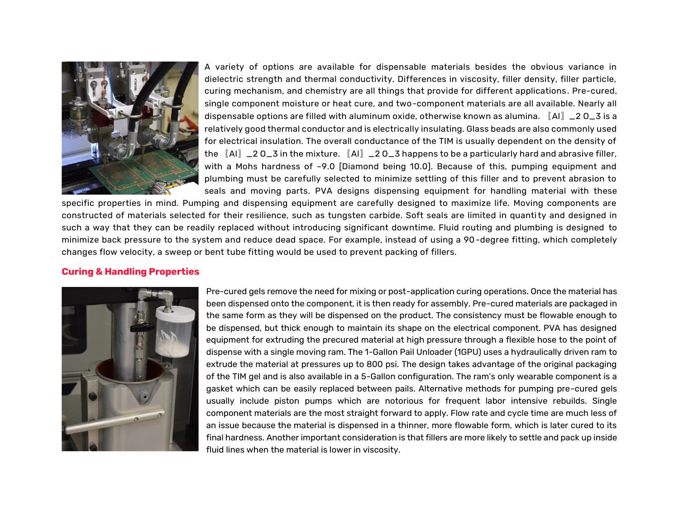

A variety of options are available for dispensable materials besides the obvious variance in dielectric strength and thermal conductivity. Differences in viscosity, filler density, filler particle, curing mechanism, and chemistry are all things that provide for different applications. Pre-cured, single component moisture or heat cure, and two-component materials are all available. Nearly all dispensable options are filled with aluminum oxide, otherwise known as alumina. 〖Al〗\_2 O\_3 is a relatively good thermal conductor and is electrically insulating. Glass beads are also commonly used for electrical insulation. The overall conductance of the TIM is usually dependent on the density of the  $\llbracket$ Al $\rrbracket$   $\perp$ 2 O\_3 in the mixture.  $\llbracket$ Al $\rrbracket$   $\perp$  2 O\_3 happens to be a particularly hard and abrasive filler, with a Mohs hardness of ~9.0 [Diamond being 10.0]. Because of this, pumping equipment and plumbing must be carefully selected to minimize settling of this filler and to prevent abrasion to seals and moving parts. PVA designs dispensing equipment for handling material with these

specific properties in mind. Pumping and dispensing equipment are carefully designed to maximize life. Moving components are constructed of materials selected for their resilience, such as tungsten carbide. Soft seals are limited in quantity and designed in such a way that they can be readily replaced without introducing significant downtime. Fluid routing and plumbing is designed to minimize back pressure to the system and reduce dead space. For example, instead of using a 90-degree fitting, which completely changes flow velocity, a sweep or bent tube fitting would be used to prevent packing of fillers.

## **Curing & Handling Properties**



Pre-cured gels remove the need for mixing or post-application curing operations. Once the material has been dispensed onto the component, it is then ready for assembly. Pre-cured materials are packaged in the same form as they will be dispensed on the product. The consistency must be flowable enough to be dispensed, but thick enough to maintain its shape on the electrical component. PVA has designed equipment for extruding the precured material at high pressure through a flexible hose to the point of dispense with a single moving ram. The 1-Gallon Pail Unloader (1GPU) uses a hydraulically driven ram to extrude the material at pressures up to 800 psi. The design takes advantage of the original packaging of the TIM gel and is also available in a 5-Gallon configuration. The ram's only wearable component is a gasket which can be easily replaced between pails. Alternative methods for pumping pre-cured gels usually include piston pumps which are notorious for frequent labor intensive rebuilds. Single component materials are the most straight forward to apply. Flow rate and cycle time are much less of an issue because the material is dispensed in a thinner, more flowable form, which is later cured to its final hardness. Another important consideration is that fillers are more likely to settle and pack up inside fluid lines when the material is lower in viscosity.